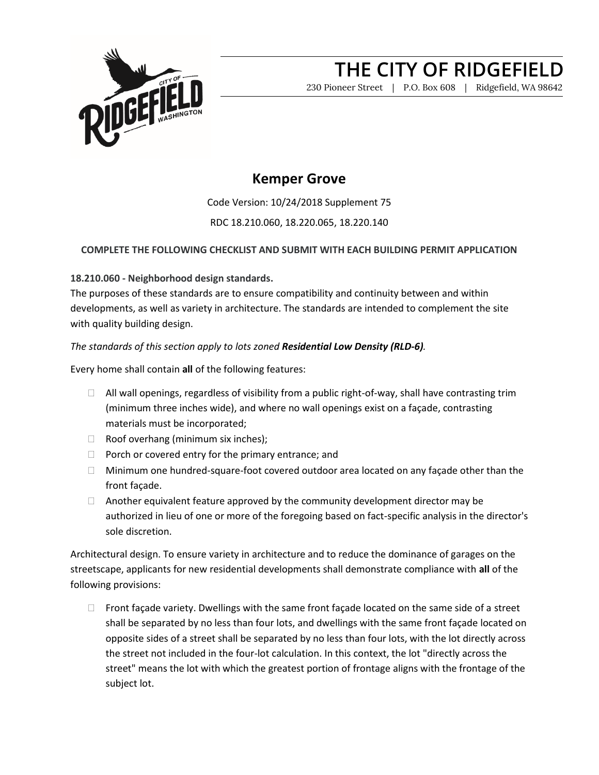

230 Pioneer Street | P.O. Box 608 | Ridgefield, WA 98642

### **Kemper Grove**

Code Version: 10/24/2018 Supplement 75 RDC 18.210.060, 18.220.065, 18.220.140

**COMPLETE THE FOLLOWING CHECKLIST AND SUBMIT WITH EACH BUILDING PERMIT APPLICATION**

### **18.210.060 - Neighborhood design standards.**

The purposes of these standards are to ensure compatibility and continuity between and within developments, as well as variety in architecture. The standards are intended to complement the site with quality building design.

### *The standards of this section apply to lots zoned Residential Low Density (RLD-6).*

Every home shall contain **all** of the following features:

- $\Box$  All wall openings, regardless of visibility from a public right-of-way, shall have contrasting trim (minimum three inches wide), and where no wall openings exist on a façade, contrasting materials must be incorporated;
- $\Box$  Roof overhang (minimum six inches);
- $\Box$  Porch or covered entry for the primary entrance; and
- $\Box$  Minimum one hundred-square-foot covered outdoor area located on any façade other than the front façade.
- $\Box$  Another equivalent feature approved by the community development director may be authorized in lieu of one or more of the foregoing based on fact-specific analysis in the director's sole discretion.

Architectural design. To ensure variety in architecture and to reduce the dominance of garages on the streetscape, applicants for new residential developments shall demonstrate compliance with **all** of the following provisions:

 $\Box$  Front façade variety. Dwellings with the same front façade located on the same side of a street shall be separated by no less than four lots, and dwellings with the same front façade located on opposite sides of a street shall be separated by no less than four lots, with the lot directly across the street not included in the four-lot calculation. In this context, the lot "directly across the street" means the lot with which the greatest portion of frontage aligns with the frontage of the subject lot.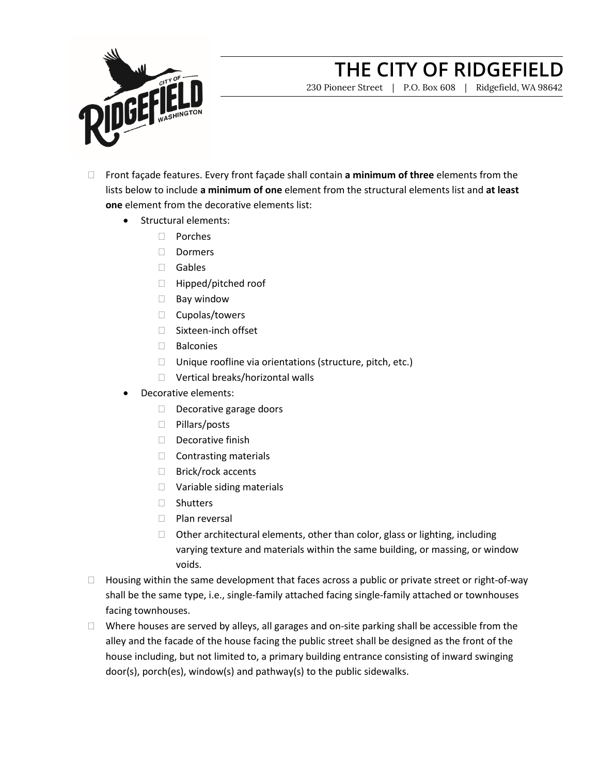

230 Pioneer Street | P.O. Box 608 | Ridgefield, WA 98642

- Front façade features. Every front façade shall contain **a minimum of three** elements from the lists below to include **a minimum of one** element from the structural elements list and **at least one** element from the decorative elements list:
	- Structural elements:
		- Porches
		- Dormers
		- Gables
		- □ Hipped/pitched roof
		- Bay window
		- $\Box$  Cupolas/towers
		- □ Sixteen-inch offset
		- $\Box$  Balconies
		- $\Box$  Unique roofline via orientations (structure, pitch, etc.)
		- □ Vertical breaks/horizontal walls
	- Decorative elements:
		- Decorative garage doors
		- □ Pillars/posts
		- Decorative finish
		- $\Box$  Contrasting materials
		- □ Brick/rock accents
		- □ Variable siding materials
		- □ Shutters
		- $\neg$  Plan reversal
		- $\Box$  Other architectural elements, other than color, glass or lighting, including varying texture and materials within the same building, or massing, or window voids.
- $\Box$  Housing within the same development that faces across a public or private street or right-of-way shall be the same type, i.e., single-family attached facing single-family attached or townhouses facing townhouses.
- $\Box$  Where houses are served by alleys, all garages and on-site parking shall be accessible from the alley and the facade of the house facing the public street shall be designed as the front of the house including, but not limited to, a primary building entrance consisting of inward swinging door(s), porch(es), window(s) and pathway(s) to the public sidewalks.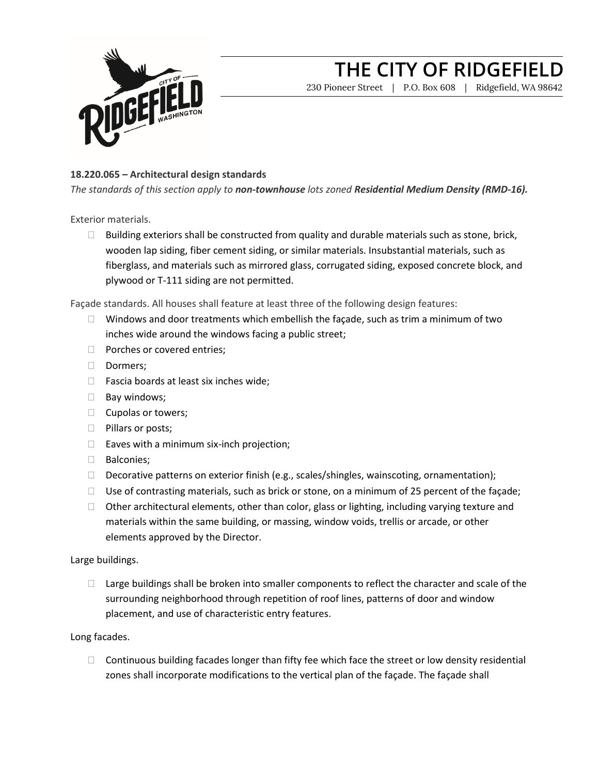

230 Pioneer Street | P.O. Box 608 | Ridgefield, WA 98642

### **18.220.065 – Architectural design standards**

*The standards of this section apply to non-townhouse lots zoned Residential Medium Density (RMD-16).*

Exterior materials.

 $\Box$  Building exteriors shall be constructed from quality and durable materials such as stone, brick, wooden lap siding, fiber cement siding, or similar materials. Insubstantial materials, such as fiberglass, and materials such as mirrored glass, corrugated siding, exposed concrete block, and plywood or T-111 siding are not permitted.

Façade standards. All houses shall feature at least three of the following design features:

- $\Box$  Windows and door treatments which embellish the façade, such as trim a minimum of two inches wide around the windows facing a public street;
- **Porches or covered entries;**
- Dormers;
- $\Box$  Fascia boards at least six inches wide;
- $\Box$  Bay windows;
- $\Box$  Cupolas or towers;
- $\Box$  Pillars or posts;
- $\Box$  Eaves with a minimum six-inch projection;
- **Balconies**;
- Decorative patterns on exterior finish (e.g., scales/shingles, wainscoting, ornamentation);
- $\Box$  Use of contrasting materials, such as brick or stone, on a minimum of 25 percent of the façade;
- $\Box$  Other architectural elements, other than color, glass or lighting, including varying texture and materials within the same building, or massing, window voids, trellis or arcade, or other elements approved by the Director.

### Large buildings.

 $\Box$  Large buildings shall be broken into smaller components to reflect the character and scale of the surrounding neighborhood through repetition of roof lines, patterns of door and window placement, and use of characteristic entry features.

### Long facades.

 $\Box$  Continuous building facades longer than fifty fee which face the street or low density residential zones shall incorporate modifications to the vertical plan of the façade. The façade shall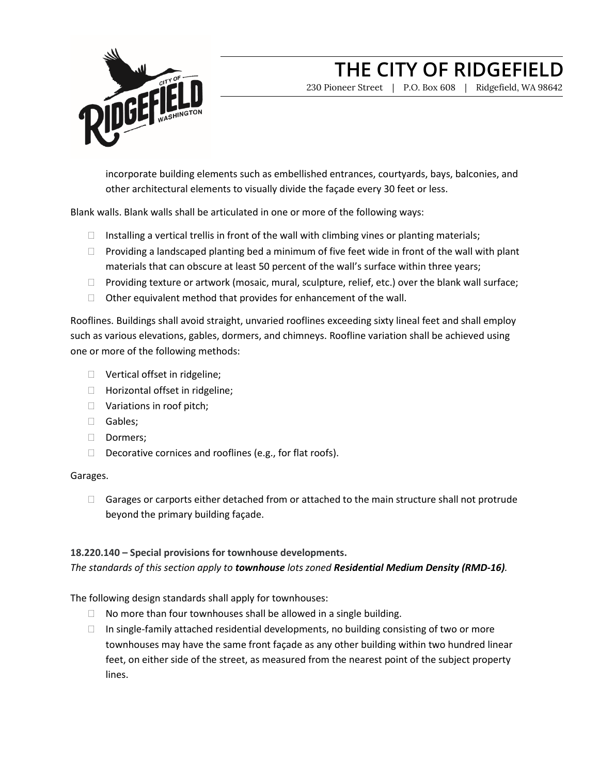

230 Pioneer Street | P.O. Box 608 | Ridgefield, WA 98642

incorporate building elements such as embellished entrances, courtyards, bays, balconies, and other architectural elements to visually divide the façade every 30 feet or less.

Blank walls. Blank walls shall be articulated in one or more of the following ways:

- $\Box$  Installing a vertical trellis in front of the wall with climbing vines or planting materials;
- $\Box$  Providing a landscaped planting bed a minimum of five feet wide in front of the wall with plant materials that can obscure at least 50 percent of the wall's surface within three years;
- $\Box$  Providing texture or artwork (mosaic, mural, sculpture, relief, etc.) over the blank wall surface;
- $\Box$  Other equivalent method that provides for enhancement of the wall.

Rooflines. Buildings shall avoid straight, unvaried rooflines exceeding sixty lineal feet and shall employ such as various elevations, gables, dormers, and chimneys. Roofline variation shall be achieved using one or more of the following methods:

- □ Vertical offset in ridgeline;
- $\Box$  Horizontal offset in ridgeline;
- □ Variations in roof pitch;
- Gables;
- Dormers;
- $\Box$  Decorative cornices and rooflines (e.g., for flat roofs).

### Garages.

 $\Box$  Garages or carports either detached from or attached to the main structure shall not protrude beyond the primary building façade.

### **18.220.140 – Special provisions for townhouse developments.**

*The standards of this section apply to townhouse lots zoned Residential Medium Density (RMD-16).*

The following design standards shall apply for townhouses:

- $\Box$  No more than four townhouses shall be allowed in a single building.
- $\Box$  In single-family attached residential developments, no building consisting of two or more townhouses may have the same front façade as any other building within two hundred linear feet, on either side of the street, as measured from the nearest point of the subject property lines.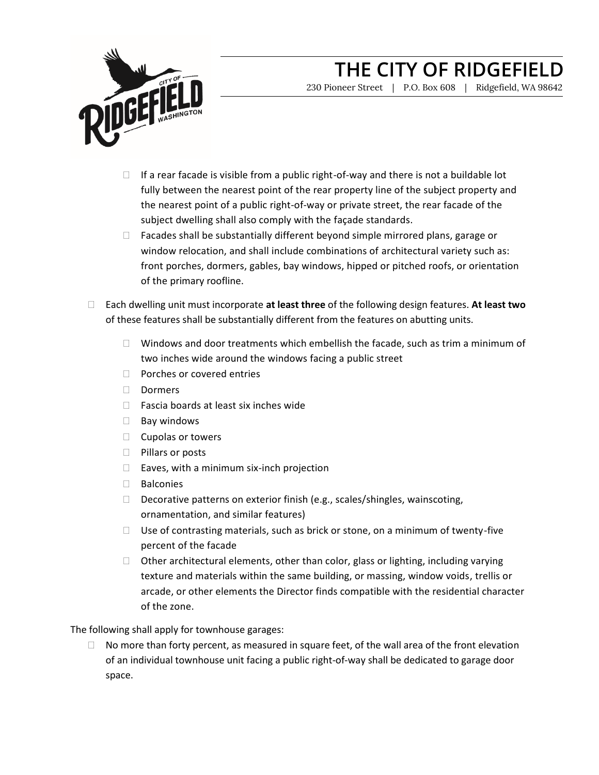

230 Pioneer Street | P.O. Box 608 | Ridgefield, WA 98642

- $\Box$  If a rear facade is visible from a public right-of-way and there is not a buildable lot fully between the nearest point of the rear property line of the subject property and the nearest point of a public right-of-way or private street, the rear facade of the subject dwelling shall also comply with the façade standards.
- $\Box$  Facades shall be substantially different beyond simple mirrored plans, garage or window relocation, and shall include combinations of architectural variety such as: front porches, dormers, gables, bay windows, hipped or pitched roofs, or orientation of the primary roofline.
- Each dwelling unit must incorporate **at least three** of the following design features. **At least two** of these features shall be substantially different from the features on abutting units.
	- $\Box$  Windows and door treatments which embellish the facade, such as trim a minimum of two inches wide around the windows facing a public street
	- $\Box$  Porches or covered entries
	- Dormers
	- $\Box$  Fascia boards at least six inches wide
	- $\Box$  Bay windows
	- $\Box$  Cupolas or towers
	- □ Pillars or posts
	- $\Box$  Eaves, with a minimum six-inch projection
	- Balconies
	- $\Box$  Decorative patterns on exterior finish (e.g., scales/shingles, wainscoting, ornamentation, and similar features)
	- $\Box$  Use of contrasting materials, such as brick or stone, on a minimum of twenty-five percent of the facade
	- $\Box$  Other architectural elements, other than color, glass or lighting, including varying texture and materials within the same building, or massing, window voids, trellis or arcade, or other elements the Director finds compatible with the residential character of the zone.

The following shall apply for townhouse garages:

 $\Box$  No more than forty percent, as measured in square feet, of the wall area of the front elevation of an individual townhouse unit facing a public right-of-way shall be dedicated to garage door space.